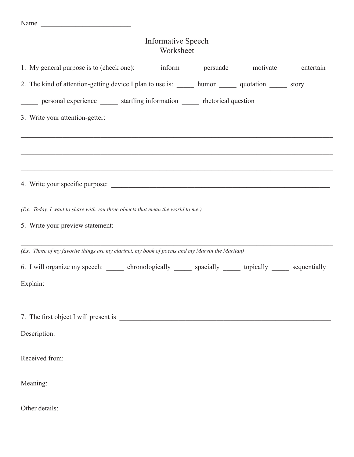## Informative Speech Worksheet

| 1. My general purpose is to (check one): ______ inform ______ persuade ______ motivate _____ entertain      |
|-------------------------------------------------------------------------------------------------------------|
| 2. The kind of attention-getting device I plan to use is: _______ humor _______ quotation ______ story      |
| personal experience _______ startling information _______ rhetorical question                               |
|                                                                                                             |
|                                                                                                             |
|                                                                                                             |
|                                                                                                             |
| 4. Write your specific purpose:                                                                             |
| (Ex. Today, I want to share with you three objects that mean the world to me.)                              |
| 5. Write your preview statement:                                                                            |
| (Ex. Three of my favorite things are my clarinet, my book of poems and my Marvin the Martian)               |
| 6. I will organize my speech: _______ chronologically ______ spacially ______ topically ______ sequentially |
|                                                                                                             |
| ,我们也不能在这里的人,我们也不能在这里的人,我们也不能在这里的人,我们也不能在这里的人,我们也不能在这里的人,我们也不能在这里的人,我们也不能在这里的人,我们也                           |
| 7. The first object I will present is                                                                       |
| Description:                                                                                                |
| Received from:                                                                                              |
|                                                                                                             |
| Meaning:                                                                                                    |
| Other details:                                                                                              |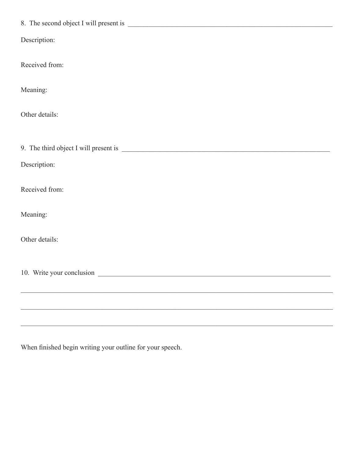| Description:              |
|---------------------------|
| Received from:            |
| Meaning:                  |
| Other details:            |
|                           |
| Description:              |
| Received from:            |
| Meaning:                  |
| Other details:            |
| 10. Write your conclusion |
|                           |
|                           |
|                           |

When finished begin writing your outline for your speech.